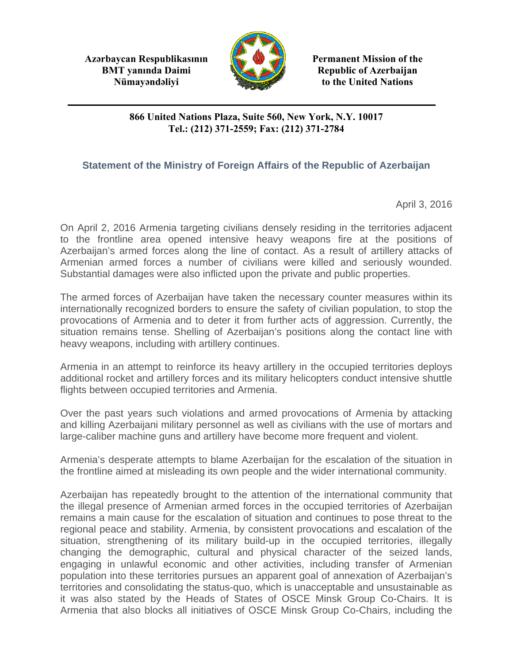**Azərbaycan Respublikasının Permanent Mission of the BMT yanında Daimi Republic of Azerbaijan** 



**Nümayəndəliyi** to the United Nations

## **866 United Nations Plaza, Suite 560, New York, N.Y. 10017 Tel.: (212) 371-2559; Fax: (212) 371-2784**

## **Statement of the Ministry of Foreign Affairs of the Republic of Azerbaijan**

April 3, 2016

On April 2, 2016 Armenia targeting civilians densely residing in the territories adjacent to the frontline area opened intensive heavy weapons fire at the positions of Azerbaijan's armed forces along the line of contact. As a result of artillery attacks of Armenian armed forces a number of civilians were killed and seriously wounded. Substantial damages were also inflicted upon the private and public properties.

The armed forces of Azerbaijan have taken the necessary counter measures within its internationally recognized borders to ensure the safety of civilian population, to stop the provocations of Armenia and to deter it from further acts of aggression. Currently, the situation remains tense. Shelling of Azerbaijan's positions along the contact line with heavy weapons, including with artillery continues.

Armenia in an attempt to reinforce its heavy artillery in the occupied territories deploys additional rocket and artillery forces and its military helicopters conduct intensive shuttle flights between occupied territories and Armenia.

Over the past years such violations and armed provocations of Armenia by attacking and killing Azerbaijani military personnel as well as civilians with the use of mortars and large-caliber machine guns and artillery have become more frequent and violent.

Armenia's desperate attempts to blame Azerbaijan for the escalation of the situation in the frontline aimed at misleading its own people and the wider international community.

Azerbaijan has repeatedly brought to the attention of the international community that the illegal presence of Armenian armed forces in the occupied territories of Azerbaijan remains a main cause for the escalation of situation and continues to pose threat to the regional peace and stability. Armenia, by consistent provocations and escalation of the situation, strengthening of its military build-up in the occupied territories, illegally changing the demographic, cultural and physical character of the seized lands, engaging in unlawful economic and other activities, including transfer of Armenian population into these territories pursues an apparent goal of annexation of Azerbaijan's territories and consolidating the status-quo, which is unacceptable and unsustainable as it was also stated by the Heads of States of OSCE Minsk Group Co-Chairs. It is Armenia that also blocks all initiatives of OSCE Minsk Group Co-Chairs, including the